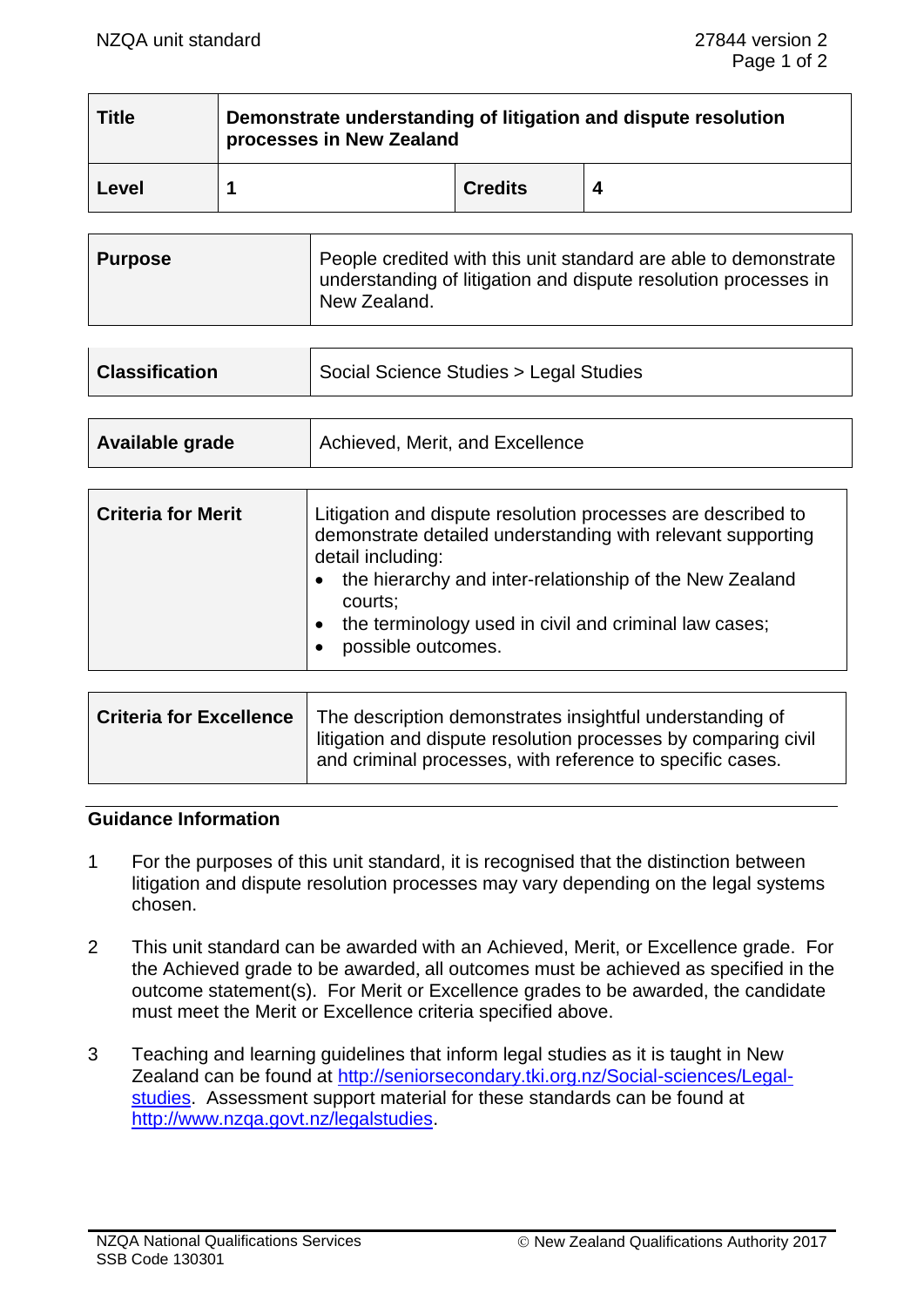| <b>Title</b> | Demonstrate understanding of litigation and dispute resolution<br>processes in New Zealand |                |  |
|--------------|--------------------------------------------------------------------------------------------|----------------|--|
| Level        |                                                                                            | <b>Credits</b> |  |

| <b>Purpose</b> | People credited with this unit standard are able to demonstrate<br>understanding of litigation and dispute resolution processes in<br>New Zealand. |
|----------------|----------------------------------------------------------------------------------------------------------------------------------------------------|
|----------------|----------------------------------------------------------------------------------------------------------------------------------------------------|

| <b>Classification</b> | Social Science Studies > Legal Studies |  |  |
|-----------------------|----------------------------------------|--|--|
|                       |                                        |  |  |

| Available grade | Achieved, Merit, and Excellence |
|-----------------|---------------------------------|
|                 |                                 |

| <b>Criteria for Merit</b> | Litigation and dispute resolution processes are described to<br>demonstrate detailed understanding with relevant supporting<br>detail including:<br>the hierarchy and inter-relationship of the New Zealand<br>courts;<br>the terminology used in civil and criminal law cases;<br>$\bullet$<br>possible outcomes. |
|---------------------------|--------------------------------------------------------------------------------------------------------------------------------------------------------------------------------------------------------------------------------------------------------------------------------------------------------------------|
|---------------------------|--------------------------------------------------------------------------------------------------------------------------------------------------------------------------------------------------------------------------------------------------------------------------------------------------------------------|

| <b>Criteria for Excellence</b>   The description demonstrates insightful understanding of<br>litigation and dispute resolution processes by comparing civil<br>and criminal processes, with reference to specific cases. |
|--------------------------------------------------------------------------------------------------------------------------------------------------------------------------------------------------------------------------|
|                                                                                                                                                                                                                          |

### **Guidance Information**

- 1 For the purposes of this unit standard, it is recognised that the distinction between litigation and dispute resolution processes may vary depending on the legal systems chosen.
- 2 This unit standard can be awarded with an Achieved, Merit, or Excellence grade. For the Achieved grade to be awarded, all outcomes must be achieved as specified in the outcome statement(s). For Merit or Excellence grades to be awarded, the candidate must meet the Merit or Excellence criteria specified above.
- 3 Teaching and learning guidelines that inform legal studies as it is taught in New Zealand can be found at [http://seniorsecondary.tki.org.nz/Social-sciences/Legal](http://seniorsecondary.tki.org.nz/Social-sciences/Legal-studies)[studies.](http://seniorsecondary.tki.org.nz/Social-sciences/Legal-studies) Assessment support material for these standards can be found at [http://www.nzqa.govt.nz/legalstudies.](http://www.nzqa.govt.nz/legalstudies)